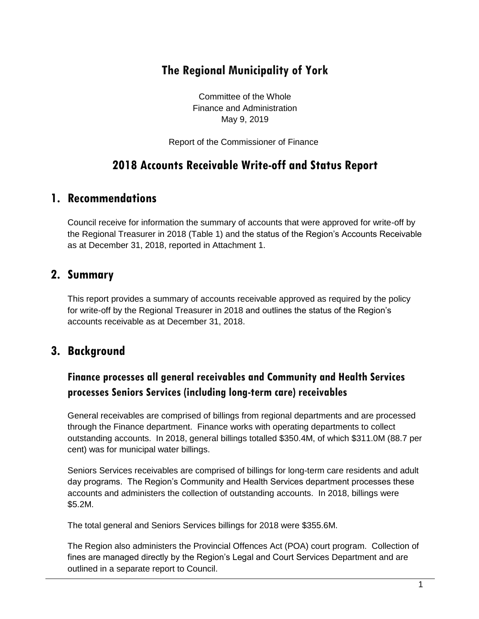# **The Regional Municipality of York**

Committee of the Whole Finance and Administration May 9, 2019

Report of the Commissioner of Finance

# **2018 Accounts Receivable Write-off and Status Report**

### **1. Recommendations**

Council receive for information the summary of accounts that were approved for write-off by the Regional Treasurer in 2018 (Table 1) and the status of the Region's Accounts Receivable as at December 31, 2018, reported in Attachment 1.

### **2. Summary**

This report provides a summary of accounts receivable approved as required by the policy for write-off by the Regional Treasurer in 2018 and outlines the status of the Region's accounts receivable as at December 31, 2018.

# **3. Background**

# **Finance processes all general receivables and Community and Health Services processes Seniors Services (including long-term care) receivables**

General receivables are comprised of billings from regional departments and are processed through the Finance department. Finance works with operating departments to collect outstanding accounts. In 2018, general billings totalled \$350.4M, of which \$311.0M (88.7 per cent) was for municipal water billings.

Seniors Services receivables are comprised of billings for long-term care residents and adult day programs. The Region's Community and Health Services department processes these accounts and administers the collection of outstanding accounts. In 2018, billings were \$5.2M.

The total general and Seniors Services billings for 2018 were \$355.6M.

The Region also administers the Provincial Offences Act (POA) court program. Collection of fines are managed directly by the Region's Legal and Court Services Department and are outlined in a separate report to Council.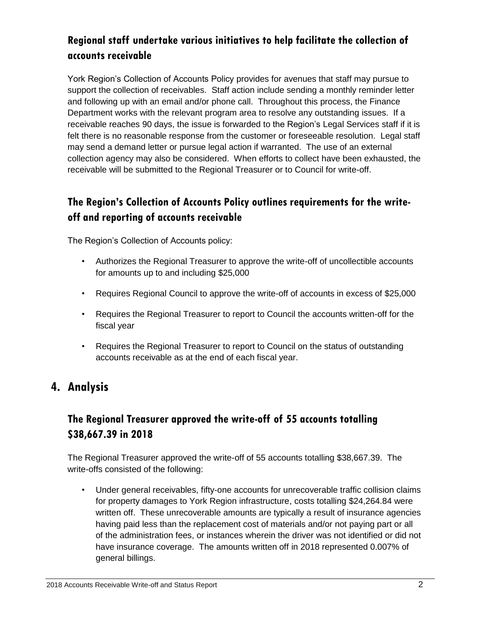### **Regional staff undertake various initiatives to help facilitate the collection of accounts receivable**

York Region's Collection of Accounts Policy provides for avenues that staff may pursue to support the collection of receivables. Staff action include sending a monthly reminder letter and following up with an email and/or phone call. Throughout this process, the Finance Department works with the relevant program area to resolve any outstanding issues. If a receivable reaches 90 days, the issue is forwarded to the Region's Legal Services staff if it is felt there is no reasonable response from the customer or foreseeable resolution. Legal staff may send a demand letter or pursue legal action if warranted. The use of an external collection agency may also be considered. When efforts to collect have been exhausted, the receivable will be submitted to the Regional Treasurer or to Council for write-off.

### **The Region's Collection of Accounts Policy outlines requirements for the writeoff and reporting of accounts receivable**

The Region's Collection of Accounts policy:

- Authorizes the Regional Treasurer to approve the write-off of uncollectible accounts for amounts up to and including \$25,000
- Requires Regional Council to approve the write-off of accounts in excess of \$25,000
- Requires the Regional Treasurer to report to Council the accounts written-off for the fiscal year
- Requires the Regional Treasurer to report to Council on the status of outstanding accounts receivable as at the end of each fiscal year.

### **4. Analysis**

### **The Regional Treasurer approved the write-off of 55 accounts totalling \$38,667.39 in 2018**

The Regional Treasurer approved the write-off of 55 accounts totalling \$38,667.39. The write-offs consisted of the following:

• Under general receivables, fifty-one accounts for unrecoverable traffic collision claims for property damages to York Region infrastructure, costs totalling \$24,264.84 were written off. These unrecoverable amounts are typically a result of insurance agencies having paid less than the replacement cost of materials and/or not paying part or all of the administration fees, or instances wherein the driver was not identified or did not have insurance coverage. The amounts written off in 2018 represented 0.007% of general billings.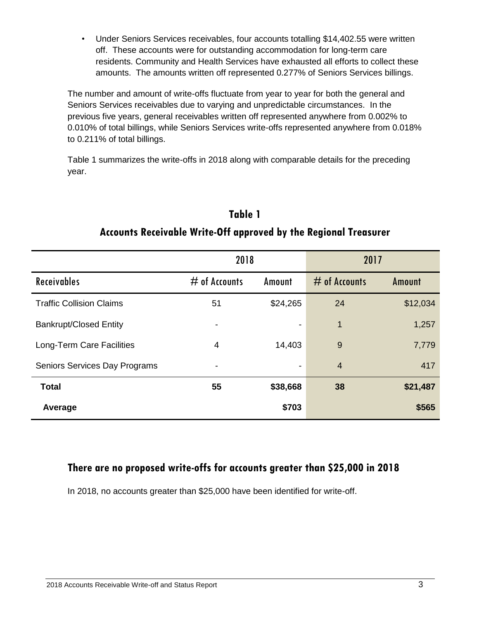Under Seniors Services receivables, four accounts totalling \$14,402.55 were written off. These accounts were for outstanding accommodation for long-term care residents. Community and Health Services have exhausted all efforts to collect these amounts. The amounts written off represented 0.277% of Seniors Services billings.

The number and amount of write-offs fluctuate from year to year for both the general and Seniors Services receivables due to varying and unpredictable circumstances. In the previous five years, general receivables written off represented anywhere from 0.002% to 0.010% of total billings, while Seniors Services write-offs represented anywhere from 0.018% to 0.211% of total billings.

Table 1 summarizes the write-offs in 2018 along with comparable details for the preceding year.

|                                 | 2018            |                          | 2017            |          |
|---------------------------------|-----------------|--------------------------|-----------------|----------|
| <b>Receivables</b>              | $#$ of Accounts | Amount                   | $#$ of Accounts | Amount   |
| <b>Traffic Collision Claims</b> | 51              | \$24,265                 | 24              | \$12,034 |
| <b>Bankrupt/Closed Entity</b>   |                 | $\overline{\phantom{a}}$ | 1               | 1,257    |
| Long-Term Care Facilities       | 4               | 14,403                   | 9               | 7,779    |
| Seniors Services Day Programs   |                 | $\overline{\phantom{a}}$ | $\overline{4}$  | 417      |
| <b>Total</b>                    | 55              | \$38,668                 | 38              | \$21,487 |
| Average                         |                 | \$703                    |                 | \$565    |

# **Table 1 Accounts Receivable Write-Off approved by the Regional Treasurer**

#### **There are no proposed write-offs for accounts greater than \$25,000 in 2018**

In 2018, no accounts greater than \$25,000 have been identified for write-off.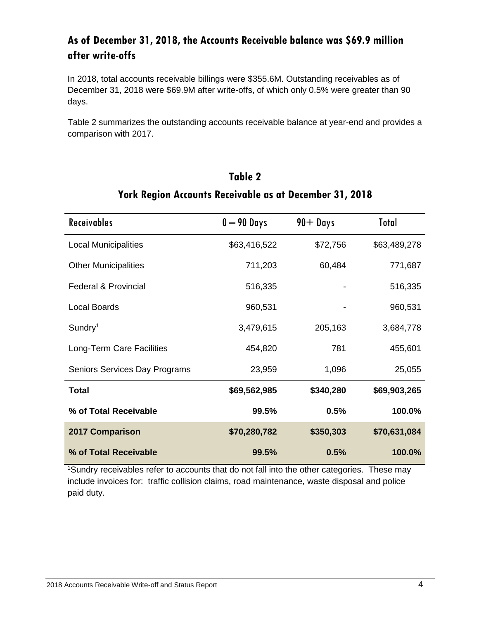### **As of December 31, 2018, the Accounts Receivable balance was \$69.9 million after write-offs**

In 2018, total accounts receivable billings were \$355.6M. Outstanding receivables as of December 31, 2018 were \$69.9M after write-offs, of which only 0.5% were greater than 90 days.

Table 2 summarizes the outstanding accounts receivable balance at year-end and provides a comparison with 2017.

| <b>Receivables</b>              | $0 - 90$ Days | $90 +$ Days | Total        |
|---------------------------------|---------------|-------------|--------------|
| <b>Local Municipalities</b>     | \$63,416,522  | \$72,756    | \$63,489,278 |
| <b>Other Municipalities</b>     | 711,203       | 60,484      | 771,687      |
| <b>Federal &amp; Provincial</b> | 516,335       |             | 516,335      |
| <b>Local Boards</b>             | 960,531       |             | 960,531      |
| $S$ undry <sup>1</sup>          | 3,479,615     | 205,163     | 3,684,778    |
| Long-Term Care Facilities       | 454,820       | 781         | 455,601      |
| Seniors Services Day Programs   | 23,959        | 1,096       | 25,055       |
| <b>Total</b>                    | \$69,562,985  | \$340,280   | \$69,903,265 |
| % of Total Receivable           | 99.5%         | 0.5%        | 100.0%       |
| <b>2017 Comparison</b>          | \$70,280,782  | \$350,303   | \$70,631,084 |
| % of Total Receivable           | 99.5%         | 0.5%        | 100.0%       |

# **Table 2 York Region Accounts Receivable as at December 31, 2018**

<sup>1</sup>Sundry receivables refer to accounts that do not fall into the other categories. These may include invoices for: traffic collision claims, road maintenance, waste disposal and police paid duty.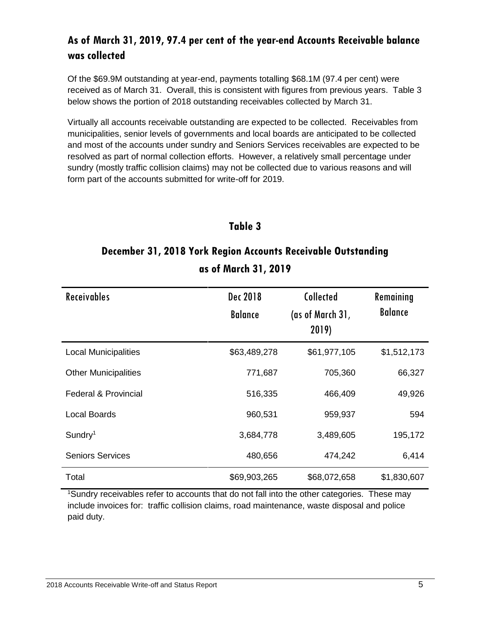### **As of March 31, 2019, 97.4 per cent of the year-end Accounts Receivable balance was collected**

Of the \$69.9M outstanding at year-end, payments totalling \$68.1M (97.4 per cent) were received as of March 31. Overall, this is consistent with figures from previous years. Table 3 below shows the portion of 2018 outstanding receivables collected by March 31.

Virtually all accounts receivable outstanding are expected to be collected. Receivables from municipalities, senior levels of governments and local boards are anticipated to be collected and most of the accounts under sundry and Seniors Services receivables are expected to be resolved as part of normal collection efforts. However, a relatively small percentage under sundry (mostly traffic collision claims) may not be collected due to various reasons and will form part of the accounts submitted for write-off for 2019.

#### **Table 3**

# **December 31, 2018 York Region Accounts Receivable Outstanding as of March 31, 2019**

| <b>Receivables</b>              | Dec 2018<br><b>Balance</b> | Collected<br>(as of March 31,<br>2019) | Remaining<br><b>Balance</b> |
|---------------------------------|----------------------------|----------------------------------------|-----------------------------|
| <b>Local Municipalities</b>     | \$63,489,278               | \$61,977,105                           | \$1,512,173                 |
| <b>Other Municipalities</b>     | 771,687                    | 705,360                                | 66,327                      |
| <b>Federal &amp; Provincial</b> | 516,335                    | 466,409                                | 49,926                      |
| <b>Local Boards</b>             | 960,531                    | 959,937                                | 594                         |
| $S$ undry <sup>1</sup>          | 3,684,778                  | 3,489,605                              | 195,172                     |
| <b>Seniors Services</b>         | 480,656                    | 474,242                                | 6,414                       |
| Total                           | \$69,903,265               | \$68,072,658                           | \$1,830,607                 |

<sup>1</sup>Sundry receivables refer to accounts that do not fall into the other categories. These may include invoices for: traffic collision claims, road maintenance, waste disposal and police paid duty.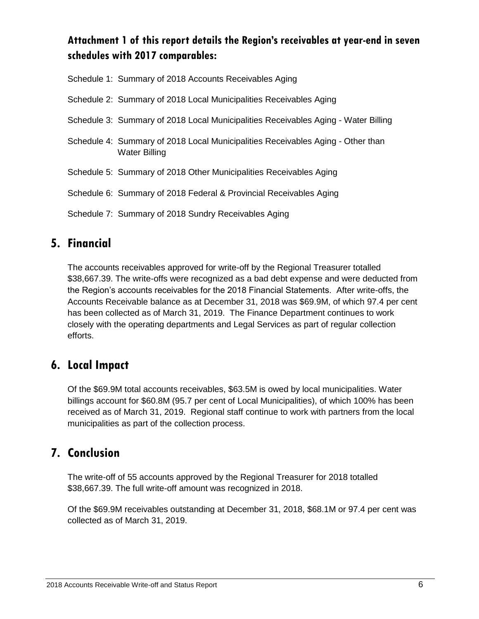### **Attachment 1 of this report details the Region's receivables at year-end in seven schedules with 2017 comparables:**

| Schedule 1: Summary of 2018 Accounts Receivables Aging                                                  |
|---------------------------------------------------------------------------------------------------------|
| Schedule 2: Summary of 2018 Local Municipalities Receivables Aging                                      |
| Schedule 3: Summary of 2018 Local Municipalities Receivables Aging - Water Billing                      |
| Schedule 4: Summary of 2018 Local Municipalities Receivables Aging - Other than<br><b>Water Billing</b> |
| Schedule 5: Summary of 2018 Other Municipalities Receivables Aging                                      |
| Schedule 6: Summary of 2018 Federal & Provincial Receivables Aging                                      |
| Schedule 7: Summary of 2018 Sundry Receivables Aging                                                    |

# **5. Financial**

The accounts receivables approved for write-off by the Regional Treasurer totalled \$38,667.39. The write-offs were recognized as a bad debt expense and were deducted from the Region's accounts receivables for the 2018 Financial Statements. After write-offs, the Accounts Receivable balance as at December 31, 2018 was \$69.9M, of which 97.4 per cent has been collected as of March 31, 2019. The Finance Department continues to work closely with the operating departments and Legal Services as part of regular collection efforts.

# **6. Local Impact**

Of the \$69.9M total accounts receivables, \$63.5M is owed by local municipalities. Water billings account for \$60.8M (95.7 per cent of Local Municipalities), of which 100% has been received as of March 31, 2019. Regional staff continue to work with partners from the local municipalities as part of the collection process.

# **7. Conclusion**

The write-off of 55 accounts approved by the Regional Treasurer for 2018 totalled \$38,667.39. The full write-off amount was recognized in 2018.

Of the \$69.9M receivables outstanding at December 31, 2018, \$68.1M or 97.4 per cent was collected as of March 31, 2019.